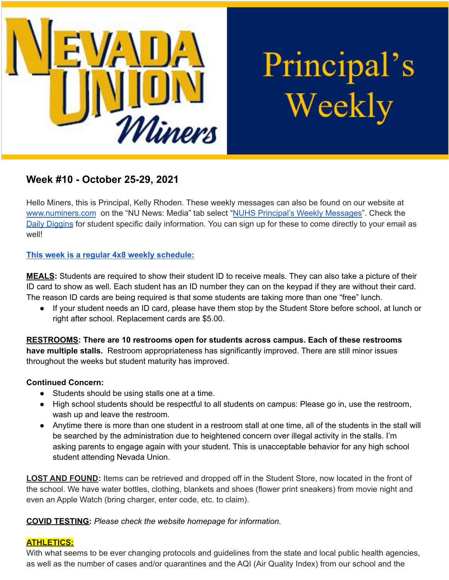

Principal's Weekly

# **Week #10 - October 25-29, 2021**

Hello Miners, this is Principal, Kelly Rhoden. These weekly messages can also be found on our website at [www.numiners.com](http://www.numiners.com) on the "NU News: Media" tab select "NUHS Principal's Weekly [Messages"](https://nevadaunion.njuhsd.com/NU-NewsMedia/NUHS-Principals-Weekly-Messages/index.html). Check the Daily [Diggins](https://nevadaunion.njuhsd.com/NU-NewsMedia/Daily-Diggins-Bulletin/index.html) for student specific daily information. You can sign up for these to come directly to your email as well!

## **This week is a regular 4x8 weekly [schedule](https://nevadaunion.njuhsd.com/documents/Bell%20Schedules/Bell-Schedule-2021-2022-NUHS-4x8.pdf):**

**MEALS:** Students are required to show their student ID to receive meals. They can also take a picture of their ID card to show as well. Each student has an ID number they can on the keypad if they are without their card. The reason ID cards are being required is that some students are taking more than one "free" lunch.

● If your student needs an ID card, please have them stop by the Student Store before school, at lunch or right after school. Replacement cards are \$5.00.

**RESTROOMS: There are 10 restrooms open for students across campus. Each of these restrooms have multiple stalls.** Restroom appropriateness has significantly improved. There are still minor issues throughout the weeks but student maturity has improved.

## **Continued Concern:**

- Students should be using stalls one at a time.
- High school students should be respectful to all students on campus: Please go in, use the restroom, wash up and leave the restroom.
- Anytime there is more than one student in a restroom stall at one time, all of the students in the stall will be searched by the administration due to heightened concern over illegal activity in the stalls. I'm asking parents to engage again with your student. This is unacceptable behavior for any high school student attending Nevada Union.

**LOST AND FOUND:** Items can be retrieved and dropped off in the Student Store, now located in the front of the school. We have water bottles, clothing, blankets and shoes (flower print sneakers) from movie night and even an Apple Watch (bring charger, enter code, etc. to claim).

## **COVID TESTING:** *Please check the website homepage for information.*

#### **ATHLETICS:**

With what seems to be ever changing protocols and guidelines from the state and local public health agencies, as well as the number of cases and/or quarantines and the AQI (Air Quality Index) from our school and the